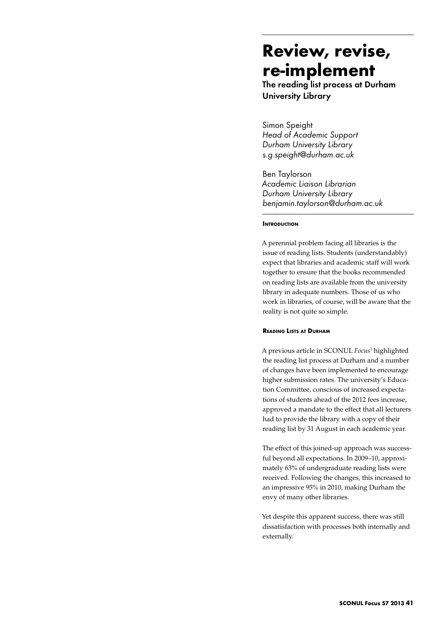# **Review, revise, re-implement**

The reading list process at Durham University Library

Simon Speight *Head of Academic Support Durham University Library s.g.speight@durham.ac.uk*

Ben Taylorson *Academic Liaison Librarian Durham University Library benjamin.taylorson@durham.ac.uk* 

## **INTRODUCTION**

A perennial problem facing all libraries is the issue of reading lists. Students (understandably) expect that libraries and academic staff will work together to ensure that the books recommended on reading lists are available from the university library in adequate numbers. Those of us who work in libraries, of course, will be aware that the reality is not quite so simple.

#### **Reading Lists at Durham**

A previous article in SCONUL *Focus*<sup>1</sup> highlighted the reading list process at Durham and a number of changes have been implemented to encourage higher submission rates. The university's Education Committee, conscious of increased expectations of students ahead of the 2012 fees increase, approved a mandate to the effect that all lecturers had to provide the library with a copy of their reading list by 31 August in each academic year.

The effect of this joined-up approach was successful beyond all expectations. In 2009–10, approximately 63% of undergraduate reading lists were received. Following the changes, this increased to an impressive 95% in 2010, making Durham the envy of many other libraries.

Yet despite this apparent success, there was still dissatisfaction with processes both internally and externally.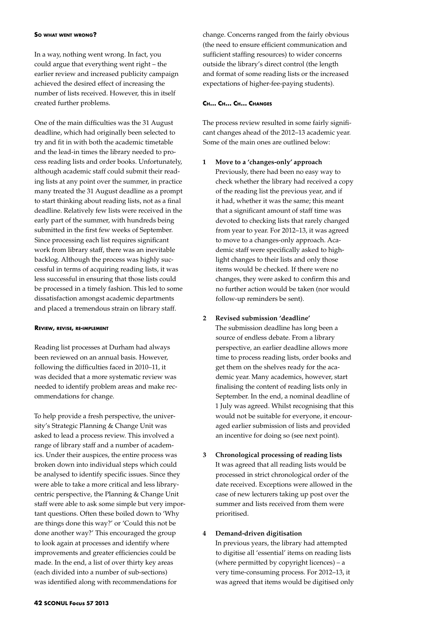#### **So what went wrong?**

In a way, nothing went wrong. In fact, you could argue that everything went right – the earlier review and increased publicity campaign achieved the desired effect of increasing the number of lists received. However, this in itself created further problems.

One of the main difficulties was the 31 August deadline, which had originally been selected to try and fit in with both the academic timetable and the lead-in times the library needed to process reading lists and order books. Unfortunately, although academic staff could submit their reading lists at any point over the summer, in practice many treated the 31 August deadline as a prompt to start thinking about reading lists, not as a final deadline. Relatively few lists were received in the early part of the summer, with hundreds being submitted in the first few weeks of September. Since processing each list requires significant work from library staff, there was an inevitable backlog. Although the process was highly successful in terms of acquiring reading lists, it was less successful in ensuring that those lists could be processed in a timely fashion. This led to some dissatisfaction amongst academic departments and placed a tremendous strain on library staff.

#### **Review, revise, re-implement**

Reading list processes at Durham had always been reviewed on an annual basis. However, following the difficulties faced in 2010–11, it was decided that a more systematic review was needed to identify problem areas and make recommendations for change.

To help provide a fresh perspective, the university's Strategic Planning & Change Unit was asked to lead a process review. This involved a range of library staff and a number of academics. Under their auspices, the entire process was broken down into individual steps which could be analysed to identify specific issues. Since they were able to take a more critical and less librarycentric perspective, the Planning & Change Unit staff were able to ask some simple but very important questions. Often these boiled down to 'Why are things done this way?' or 'Could this not be done another way?' This encouraged the group to look again at processes and identify where improvements and greater efficiencies could be made. In the end, a list of over thirty key areas (each divided into a number of sub-sections) was identified along with recommendations for

change. Concerns ranged from the fairly obvious (the need to ensure efficient communication and sufficient staffing resources) to wider concerns outside the library's direct control (the length and format of some reading lists or the increased expectations of higher-fee-paying students).

### **Ch… Ch… Ch… Changes**

The process review resulted in some fairly significant changes ahead of the 2012–13 academic year. Some of the main ones are outlined below:

#### **1 Move to a 'changes-only' approach**

Previously, there had been no easy way to check whether the library had received a copy of the reading list the previous year, and if it had, whether it was the same; this meant that a significant amount of staff time was devoted to checking lists that rarely changed from year to year. For 2012–13, it was agreed to move to a changes-only approach. Academic staff were specifically asked to highlight changes to their lists and only those items would be checked. If there were no changes, they were asked to confirm this and no further action would be taken (nor would follow-up reminders be sent).

# **2 Revised submission 'deadline'** The submission deadline has long been a source of endless debate. From a library

perspective, an earlier deadline allows more time to process reading lists, order books and get them on the shelves ready for the academic year. Many academics, however, start finalising the content of reading lists only in September. In the end, a nominal deadline of 1 July was agreed. Whilst recognising that this would not be suitable for everyone, it encouraged earlier submission of lists and provided an incentive for doing so (see next point).

# **3 Chronological processing of reading lists** It was agreed that all reading lists would be processed in strict chronological order of the date received. Exceptions were allowed in the case of new lecturers taking up post over the summer and lists received from them were prioritised.

#### **4 Demand-driven digitisation**

In previous years, the library had attempted to digitise all 'essential' items on reading lists (where permitted by copyright licences) – a very time-consuming process. For 2012–13, it was agreed that items would be digitised only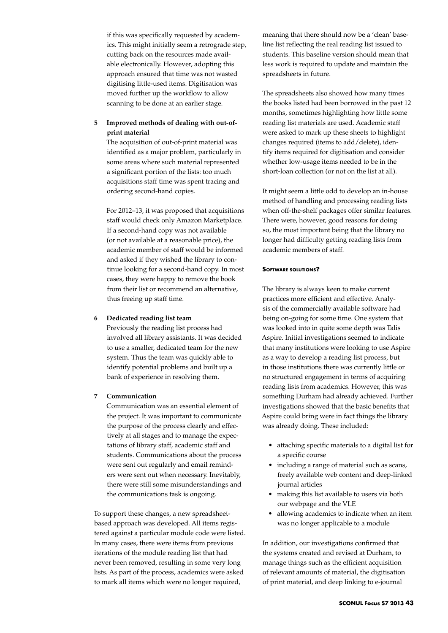if this was specifically requested by academics. This might initially seem a retrograde step, cutting back on the resources made available electronically. However, adopting this approach ensured that time was not wasted digitising little-used items. Digitisation was moved further up the workflow to allow scanning to be done at an earlier stage.

# **5 Improved methods of dealing with out-ofprint material**

The acquisition of out-of-print material was identified as a major problem, particularly in some areas where such material represented a significant portion of the lists: too much acquisitions staff time was spent tracing and ordering second-hand copies.

For 2012–13, it was proposed that acquisitions staff would check only Amazon Marketplace. If a second-hand copy was not available (or not available at a reasonable price), the academic member of staff would be informed and asked if they wished the library to continue looking for a second-hand copy. In most cases, they were happy to remove the book from their list or recommend an alternative, thus freeing up staff time.

## **6 Dedicated reading list team**

Previously the reading list process had involved all library assistants. It was decided to use a smaller, dedicated team for the new system. Thus the team was quickly able to identify potential problems and built up a bank of experience in resolving them.

# **7 Communication**

Communication was an essential element of the project. It was important to communicate the purpose of the process clearly and effectively at all stages and to manage the expectations of library staff, academic staff and students. Communications about the process were sent out regularly and email reminders were sent out when necessary. Inevitably, there were still some misunderstandings and the communications task is ongoing.

To support these changes, a new spreadsheetbased approach was developed. All items registered against a particular module code were listed. In many cases, there were items from previous iterations of the module reading list that had never been removed, resulting in some very long lists. As part of the process, academics were asked to mark all items which were no longer required,

meaning that there should now be a 'clean' baseline list reflecting the real reading list issued to students. This baseline version should mean that less work is required to update and maintain the spreadsheets in future.

The spreadsheets also showed how many times the books listed had been borrowed in the past 12 months, sometimes highlighting how little some reading list materials are used. Academic staff were asked to mark up these sheets to highlight changes required (items to add/delete), identify items required for digitisation and consider whether low-usage items needed to be in the short-loan collection (or not on the list at all).

It might seem a little odd to develop an in-house method of handling and processing reading lists when off-the-shelf packages offer similar features. There were, however, good reasons for doing so, the most important being that the library no longer had difficulty getting reading lists from academic members of staff.

## **Software solutions?**

The library is always keen to make current practices more efficient and effective. Analysis of the commercially available software had being on-going for some time. One system that was looked into in quite some depth was Talis Aspire. Initial investigations seemed to indicate that many institutions were looking to use Aspire as a way to develop a reading list process, but in those institutions there was currently little or no structured engagement in terms of acquiring reading lists from academics. However, this was something Durham had already achieved. Further investigations showed that the basic benefits that Aspire could bring were in fact things the library was already doing. These included:

- • attaching specific materials to a digital list for a specific course
- including a range of material such as scans, freely available web content and deep-linked journal articles
- making this list available to users via both our webpage and the VLE
- • allowing academics to indicate when an item was no longer applicable to a module

In addition, our investigations confirmed that the systems created and revised at Durham, to manage things such as the efficient acquisition of relevant amounts of material, the digitisation of print material, and deep linking to e-journal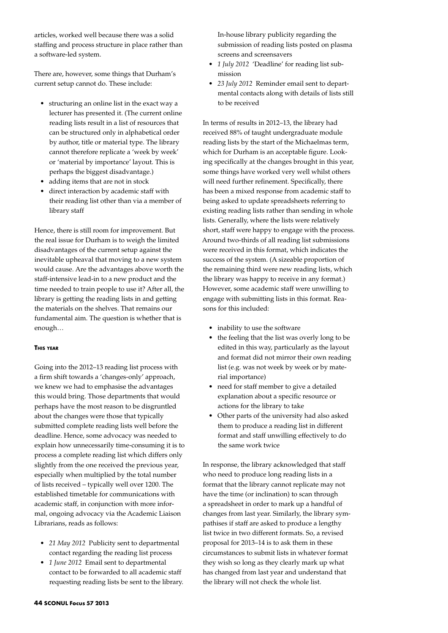articles, worked well because there was a solid staffing and process structure in place rather than a software-led system.

There are, however, some things that Durham's current setup cannot do. These include:

- structuring an online list in the exact way a lecturer has presented it. (The current online reading lists result in a list of resources that can be structured only in alphabetical order by author, title or material type. The library cannot therefore replicate a 'week by week' or 'material by importance' layout. This is perhaps the biggest disadvantage.)
- adding items that are not in stock
- • direct interaction by academic staff with their reading list other than via a member of library staff

Hence, there is still room for improvement. But the real issue for Durham is to weigh the limited disadvantages of the current setup against the inevitable upheaval that moving to a new system would cause. Are the advantages above worth the staff-intensive lead-in to a new product and the time needed to train people to use it? After all, the library is getting the reading lists in and getting the materials on the shelves. That remains our fundamental aim. The question is whether that is enough…

## **This year**

Going into the 2012–13 reading list process with a firm shift towards a 'changes-only' approach, we knew we had to emphasise the advantages this would bring. Those departments that would perhaps have the most reason to be disgruntled about the changes were those that typically submitted complete reading lists well before the deadline. Hence, some advocacy was needed to explain how unnecessarily time-consuming it is to process a complete reading list which differs only slightly from the one received the previous year, especially when multiplied by the total number of lists received – typically well over 1200. The established timetable for communications with academic staff, in conjunction with more informal, ongoing advocacy via the Academic Liaison Librarians, reads as follows:

- • *21 May 2012* Publicity sent to departmental contact regarding the reading list process
- • *1 June 2012* Email sent to departmental contact to be forwarded to all academic staff requesting reading lists be sent to the library.

In-house library publicity regarding the submission of reading lists posted on plasma screens and screensavers

- • *1 July 2012* 'Deadline' for reading list submission
- • *23 July 2012* Reminder email sent to departmental contacts along with details of lists still to be received

In terms of results in 2012–13, the library had received 88% of taught undergraduate module reading lists by the start of the Michaelmas term, which for Durham is an acceptable figure. Looking specifically at the changes brought in this year, some things have worked very well whilst others will need further refinement. Specifically, there has been a mixed response from academic staff to being asked to update spreadsheets referring to existing reading lists rather than sending in whole lists. Generally, where the lists were relatively short, staff were happy to engage with the process. Around two-thirds of all reading list submissions were received in this format, which indicates the success of the system. (A sizeable proportion of the remaining third were new reading lists, which the library was happy to receive in any format.) However, some academic staff were unwilling to engage with submitting lists in this format. Reasons for this included:

- inability to use the software
- the feeling that the list was overly long to be edited in this way, particularly as the layout and format did not mirror their own reading list (e.g. was not week by week or by material importance)
- need for staff member to give a detailed explanation about a specific resource or actions for the library to take
- • Other parts of the university had also asked them to produce a reading list in different format and staff unwilling effectively to do the same work twice

In response, the library acknowledged that staff who need to produce long reading lists in a format that the library cannot replicate may not have the time (or inclination) to scan through a spreadsheet in order to mark up a handful of changes from last year. Similarly, the library sympathises if staff are asked to produce a lengthy list twice in two different formats. So, a revised proposal for 2013–14 is to ask them in these circumstances to submit lists in whatever format they wish so long as they clearly mark up what has changed from last year and understand that the library will not check the whole list.